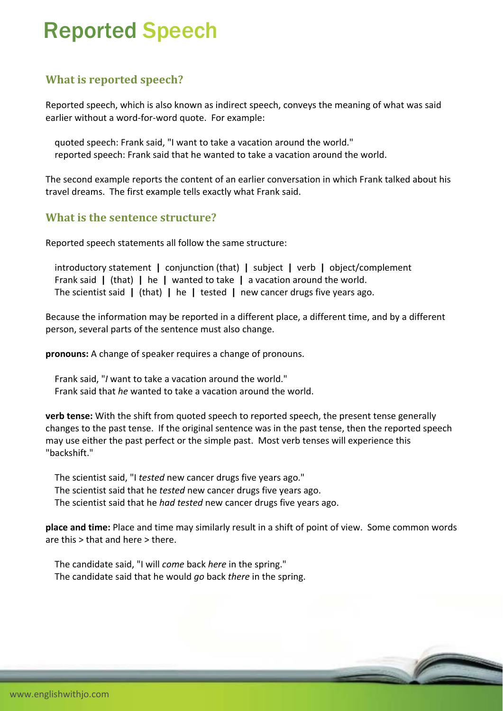# Reported Speech

## **What is reported speech?**

Reported speech, which is also known as indirect speech, conveys the meaning of what was said earlier without a word‐for‐word quote. For example:

 quoted speech: Frank said, "I want to take a vacation around the world." reported speech: Frank said that he wanted to take a vacation around the world.

The second example reports the content of an earlier conversation in which Frank talked about his travel dreams. The first example tells exactly what Frank said.

### **What is the sentence structure?**

Reported speech statements all follow the same structure:

 introductory statement **|** conjunction (that) **|** subject **|** verb **|** object/complement Frank said **|** (that) **|** he **|** wanted to take **|** a vacation around the world. The scientist said **|** (that) **|** he **|** tested **|** new cancer drugs five years ago.

Because the information may be reported in a different place, a different time, and by a different person, several parts of the sentence must also change.

**pronouns:** A change of speaker requires a change of pronouns.

 Frank said, "*I* want to take a vacation around the world." Frank said that *he* wanted to take a vacation around the world.

**verb tense:** With the shift from quoted speech to reported speech, the present tense generally changes to the past tense. If the original sentence was in the past tense, then the reported speech may use either the past perfect or the simple past. Most verb tenses will experience this "backshift."

 The scientist said, "I *tested* new cancer drugs five years ago." The scientist said that he *tested* new cancer drugs five years ago. The scientist said that he *had tested* new cancer drugs five years ago.

**place and time:** Place and time may similarly result in a shift of point of view. Some common words are this > that and here > there.

 The candidate said, "I will *come* back *here* in the spring." The candidate said that he would *go* back *there* in the spring.